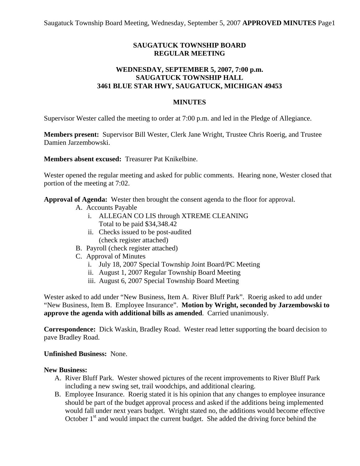# **SAUGATUCK TOWNSHIP BOARD REGULAR MEETING**

## **WEDNESDAY, SEPTEMBER 5, 2007, 7:00 p.m. SAUGATUCK TOWNSHIP HALL 3461 BLUE STAR HWY, SAUGATUCK, MICHIGAN 49453**

## **MINUTES**

Supervisor Wester called the meeting to order at 7:00 p.m. and led in the Pledge of Allegiance.

**Members present:** Supervisor Bill Wester, Clerk Jane Wright, Trustee Chris Roerig, and Trustee Damien Jarzembowski.

**Members absent excused:** Treasurer Pat Knikelbine.

Wester opened the regular meeting and asked for public comments. Hearing none, Wester closed that portion of the meeting at 7:02.

**Approval of Agenda:** Wester then brought the consent agenda to the floor for approval.

- A. Accounts Payable
	- i. ALLEGAN CO LIS through XTREME CLEANING Total to be paid \$34,348.42
	- ii. Checks issued to be post-audited (check register attached)
- B. Payroll (check register attached)
- C. Approval of Minutes
	- i. July 18, 2007 Special Township Joint Board/PC Meeting
	- ii. August 1, 2007 Regular Township Board Meeting
	- iii. August 6, 2007 Special Township Board Meeting

Wester asked to add under "New Business, Item A. River Bluff Park". Roerig asked to add under "New Business, Item B. Employee Insurance". **Motion by Wright, seconded by Jarzembowski to approve the agenda with additional bills as amended**. Carried unanimously.

**Correspondence:** Dick Waskin, Bradley Road. Wester read letter supporting the board decision to pave Bradley Road.

#### **Unfinished Business:** None.

#### **New Business:**

- A. River Bluff Park. Wester showed pictures of the recent improvements to River Bluff Park including a new swing set, trail woodchips, and additional clearing.
- B. Employee Insurance. Roerig stated it is his opinion that any changes to employee insurance should be part of the budget approval process and asked if the additions being implemented would fall under next years budget. Wright stated no, the additions would become effective October  $1<sup>st</sup>$  and would impact the current budget. She added the driving force behind the